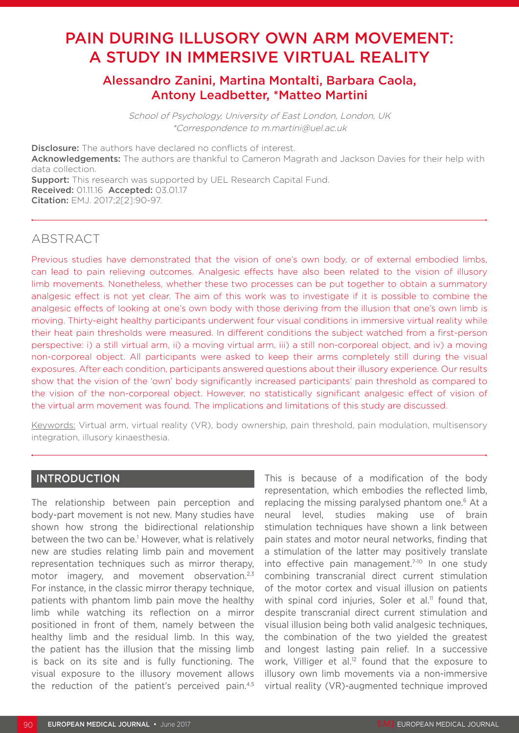# PAIN DURING ILLUSORY OWN ARM MOVEMENT: A STUDY IN IMMERSIVE VIRTUAL REALITY

# Alessandro Zanini, Martina Montalti, Barbara Caola, Antony Leadbetter, \*Matteo Martini

School of Psychology, University of East London, London, UK \*Correspondence to m.martini@uel.ac.uk

**Disclosure:** The authors have declared no conflicts of interest. Acknowledgements: The authors are thankful to Cameron Magrath and Jackson Davies for their help with data collection. **Support:** This research was supported by UEL Research Capital Fund. Received: 01.11.16 Accepted: 03.01.17 Citation: EMJ. 2017;2[2]:90-97.

# ABSTRACT

Previous studies have demonstrated that the vision of one's own body, or of external embodied limbs, can lead to pain relieving outcomes. Analgesic effects have also been related to the vision of illusory limb movements. Nonetheless, whether these two processes can be put together to obtain a summatory analgesic effect is not yet clear. The aim of this work was to investigate if it is possible to combine the analgesic effects of looking at one's own body with those deriving from the illusion that one's own limb is moving. Thirty-eight healthy participants underwent four visual conditions in immersive virtual reality while their heat pain thresholds were measured. In different conditions the subject watched from a first-person perspective: i) a still virtual arm, ii) a moving virtual arm, iii) a still non-corporeal object, and iv) a moving non-corporeal object. All participants were asked to keep their arms completely still during the visual exposures. After each condition, participants answered questions about their illusory experience. Our results show that the vision of the 'own' body significantly increased participants' pain threshold as compared to the vision of the non-corporeal object. However, no statistically significant analgesic effect of vision of the virtual arm movement was found. The implications and limitations of this study are discussed.

Keywords: Virtual arm, virtual reality (VR), body ownership, pain threshold, pain modulation, multisensory integration, illusory kinaesthesia.

### INTRODUCTION

The relationship between pain perception and body-part movement is not new. Many studies have shown how strong the bidirectional relationship between the two can be.1 However, what is relatively new are studies relating limb pain and movement representation techniques such as mirror therapy, motor imagery, and movement observation.<sup>2,3</sup> For instance, in the classic mirror therapy technique, patients with phantom limb pain move the healthy limb while watching its reflection on a mirror positioned in front of them, namely between the healthy limb and the residual limb. In this way, the patient has the illusion that the missing limb is back on its site and is fully functioning. The visual exposure to the illusory movement allows the reduction of the patient's perceived pain.4,5

This is because of a modification of the body representation, which embodies the reflected limb, replacing the missing paralysed phantom one.<sup>6</sup> At a neural level, studies making use of brain stimulation techniques have shown a link between pain states and motor neural networks, finding that a stimulation of the latter may positively translate into effective pain management.<sup>7-10</sup> In one study combining transcranial direct current stimulation of the motor cortex and visual illusion on patients with spinal cord injuries, Soler et al.<sup>11</sup> found that, despite transcranial direct current stimulation and visual illusion being both valid analgesic techniques, the combination of the two yielded the greatest and longest lasting pain relief. In a successive work, Villiger et al. $12$  found that the exposure to illusory own limb movements via a non-immersive virtual reality (VR)-augmented technique improved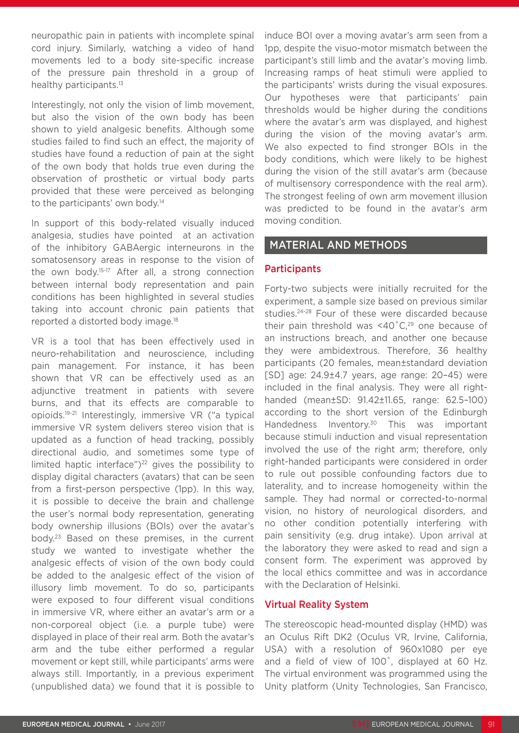neuropathic pain in patients with incomplete spinal cord injury. Similarly, watching a video of hand movements led to a body site-specific increase of the pressure pain threshold in a group of healthy participants.<sup>13</sup>

Interestingly, not only the vision of limb movement, but also the vision of the own body has been shown to yield analgesic benefits. Although some studies failed to find such an effect, the majority of studies have found a reduction of pain at the sight of the own body that holds true even during the observation of prosthetic or virtual body parts provided that these were perceived as belonging to the participants' own body.<sup>14</sup>

In support of this body-related visually induced analgesia, studies have pointed at an activation of the inhibitory GABAergic interneurons in the somatosensory areas in response to the vision of the own body.15-17 After all, a strong connection between internal body representation and pain conditions has been highlighted in several studies taking into account chronic pain patients that reported a distorted body image.18

VR is a tool that has been effectively used in neuro-rehabilitation and neuroscience, including pain management. For instance, it has been shown that VR can be effectively used as an adjunctive treatment in patients with severe burns, and that its effects are comparable to opioids.19-21 Interestingly, immersive VR ("a typical immersive VR system delivers stereo vision that is updated as a function of head tracking, possibly directional audio, and sometimes some type of limited haptic interface" $)^{22}$  gives the possibility to display digital characters (avatars) that can be seen from a first-person perspective (1pp). In this way, it is possible to deceive the brain and challenge the user's normal body representation, generating body ownership illusions (BOIs) over the avatar's body.23 Based on these premises, in the current study we wanted to investigate whether the analgesic effects of vision of the own body could be added to the analgesic effect of the vision of illusory limb movement. To do so, participants were exposed to four different visual conditions in immersive VR, where either an avatar's arm or a non-corporeal object (i.e. a purple tube) were displayed in place of their real arm. Both the avatar's arm and the tube either performed a regular movement or kept still, while participants' arms were always still. Importantly, in a previous experiment (unpublished data) we found that it is possible to

induce BOI over a moving avatar's arm seen from a 1pp, despite the visuo-motor mismatch between the participant's still limb and the avatar's moving limb. Increasing ramps of heat stimuli were applied to the participants' wrists during the visual exposures. Our hypotheses were that participants' pain thresholds would be higher during the conditions where the avatar's arm was displayed, and highest during the vision of the moving avatar's arm. We also expected to find stronger BOIs in the body conditions, which were likely to be highest during the vision of the still avatar's arm (because of multisensory correspondence with the real arm). The strongest feeling of own arm movement illusion was predicted to be found in the avatar's arm moving condition.

#### MATERIAL AND METHODS

#### **Participants**

Forty-two subjects were initially recruited for the experiment, a sample size based on previous similar studies.<sup>24-28</sup> Four of these were discarded because their pain threshold was  $\leq 40^{\circ}$ C.<sup>29</sup> one because of an instructions breach, and another one because they were ambidextrous. Therefore, 36 healthy participants (20 females, mean±standard deviation [SD] age: 24.9±4.7 years, age range: 20–45) were included in the final analysis. They were all righthanded (mean±SD: 91.42±11.65, range: 62.5–100) according to the short version of the Edinburgh Handedness Inventory.30 This was important because stimuli induction and visual representation involved the use of the right arm; therefore, only right-handed participants were considered in order to rule out possible confounding factors due to laterality, and to increase homogeneity within the sample. They had normal or corrected-to-normal vision, no history of neurological disorders, and no other condition potentially interfering with pain sensitivity (e.g. drug intake). Upon arrival at the laboratory they were asked to read and sign a consent form. The experiment was approved by the local ethics committee and was in accordance with the Declaration of Helsinki.

#### Virtual Reality System

The stereoscopic head-mounted display (HMD) was an Oculus Rift DK2 (Oculus VR, Irvine, California, USA) with a resolution of 960x1080 per eye and a field of view of 100˚, displayed at 60 Hz. The virtual environment was programmed using the Unity platform (Unity Technologies, San Francisco,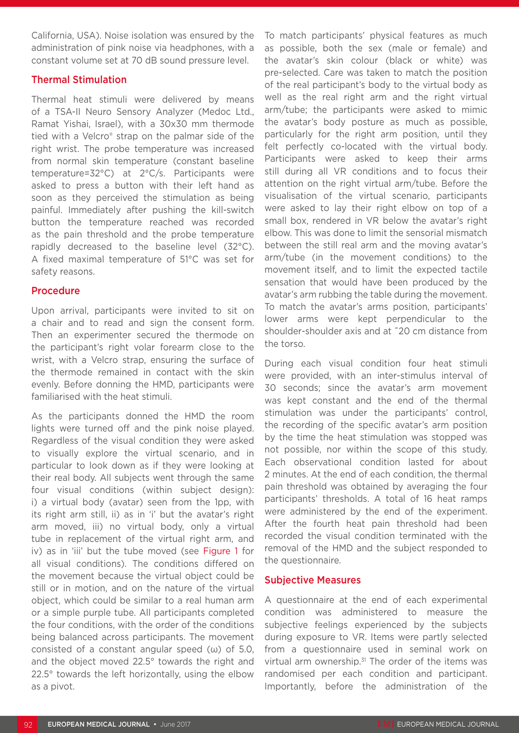California, USA). Noise isolation was ensured by the administration of pink noise via headphones, with a constant volume set at 70 dB sound pressure level.

#### Thermal Stimulation

Thermal heat stimuli were delivered by means of a TSA-II Neuro Sensory Analyzer (Medoc Ltd., Ramat Yishai, Israel), with a 30x30 mm thermode tied with a Velcro® strap on the palmar side of the right wrist. The probe temperature was increased from normal skin temperature (constant baseline temperature=32°C) at 2°C/s. Participants were asked to press a button with their left hand as soon as they perceived the stimulation as being painful. Immediately after pushing the kill-switch button the temperature reached was recorded as the pain threshold and the probe temperature rapidly decreased to the baseline level (32°C). A fixed maximal temperature of 51°C was set for safety reasons.

#### Procedure

Upon arrival, participants were invited to sit on a chair and to read and sign the consent form. Then an experimenter secured the thermode on the participant's right volar forearm close to the wrist, with a Velcro strap, ensuring the surface of the thermode remained in contact with the skin evenly. Before donning the HMD, participants were familiarised with the heat stimuli.

As the participants donned the HMD the room lights were turned off and the pink noise played. Regardless of the visual condition they were asked to visually explore the virtual scenario, and in particular to look down as if they were looking at their real body. All subjects went through the same four visual conditions (within subject design): i) a virtual body (avatar) seen from the 1pp, with its right arm still, ii) as in 'i' but the avatar's right arm moved, iii) no virtual body, only a virtual tube in replacement of the virtual right arm, and iv) as in 'iii' but the tube moved (see Figure 1 for all visual conditions). The conditions differed on the movement because the virtual object could be still or in motion, and on the nature of the virtual object, which could be similar to a real human arm or a simple purple tube. All participants completed the four conditions, with the order of the conditions being balanced across participants. The movement consisted of a constant angular speed (ω) of 5.0, and the object moved 22.5° towards the right and 22.5° towards the left horizontally, using the elbow as a pivot.

To match participants' physical features as much as possible, both the sex (male or female) and the avatar's skin colour (black or white) was pre-selected. Care was taken to match the position of the real participant's body to the virtual body as well as the real right arm and the right virtual arm/tube; the participants were asked to mimic the avatar's body posture as much as possible, particularly for the right arm position, until they felt perfectly co-located with the virtual body. Participants were asked to keep their arms still during all VR conditions and to focus their attention on the right virtual arm/tube. Before the visualisation of the virtual scenario, participants were asked to lay their right elbow on top of a small box, rendered in VR below the avatar's right elbow. This was done to limit the sensorial mismatch between the still real arm and the moving avatar's arm/tube (in the movement conditions) to the movement itself, and to limit the expected tactile sensation that would have been produced by the avatar's arm rubbing the table during the movement. To match the avatar's arms position, participants' lower arms were kept perpendicular to the shoulder-shoulder axis and at ˜20 cm distance from the torso.

During each visual condition four heat stimuli were provided, with an inter-stimulus interval of 30 seconds; since the avatar's arm movement was kept constant and the end of the thermal stimulation was under the participants' control, the recording of the specific avatar's arm position by the time the heat stimulation was stopped was not possible, nor within the scope of this study. Each observational condition lasted for about 2 minutes. At the end of each condition, the thermal pain threshold was obtained by averaging the four participants' thresholds. A total of 16 heat ramps were administered by the end of the experiment. After the fourth heat pain threshold had been recorded the visual condition terminated with the removal of the HMD and the subject responded to the questionnaire.

#### Subjective Measures

A questionnaire at the end of each experimental condition was administered to measure the subjective feelings experienced by the subjects during exposure to VR. Items were partly selected from a questionnaire used in seminal work on virtual arm ownership.<sup>31</sup> The order of the items was randomised per each condition and participant. Importantly, before the administration of the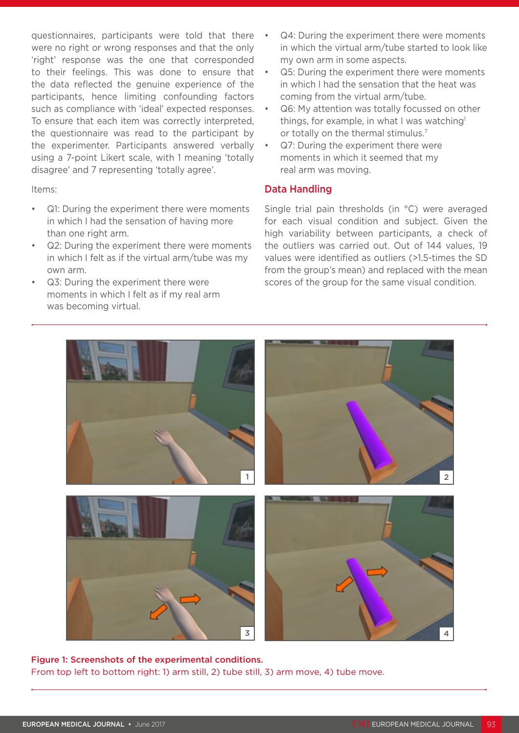questionnaires, participants were told that there were no right or wrong responses and that the only 'right' response was the one that corresponded to their feelings. This was done to ensure that the data reflected the genuine experience of the participants, hence limiting confounding factors such as compliance with 'ideal' expected responses. To ensure that each item was correctly interpreted, the questionnaire was read to the participant by the experimenter. Participants answered verbally using a 7-point Likert scale, with 1 meaning 'totally disagree' and 7 representing 'totally agree'.

Items:

- Q1: During the experiment there were moments in which I had the sensation of having more than one right arm.
- Q2: During the experiment there were moments in which I felt as if the virtual arm/tube was my own arm.
- Q3: During the experiment there were moments in which I felt as if my real arm was becoming virtual.
- Q4: During the experiment there were moments in which the virtual arm/tube started to look like my own arm in some aspects.
- Q5: During the experiment there were moments in which I had the sensation that the heat was coming from the virtual arm/tube.
- Q6: My attention was totally focussed on other things, for example, in what I was watching<sup>1</sup> or totally on the thermal stimulus.<sup>7</sup>
- Q7: During the experiment there were moments in which it seemed that my real arm was moving.

## Data Handling

Single trial pain thresholds (in °C) were averaged for each visual condition and subject. Given the high variability between participants, a check of the outliers was carried out. Out of 144 values, 19 values were identified as outliers (>1.5-times the SD from the group's mean) and replaced with the mean scores of the group for the same visual condition.



Figure 1: Screenshots of the experimental conditions. From top left to bottom right: 1) arm still, 2) tube still, 3) arm move, 4) tube move.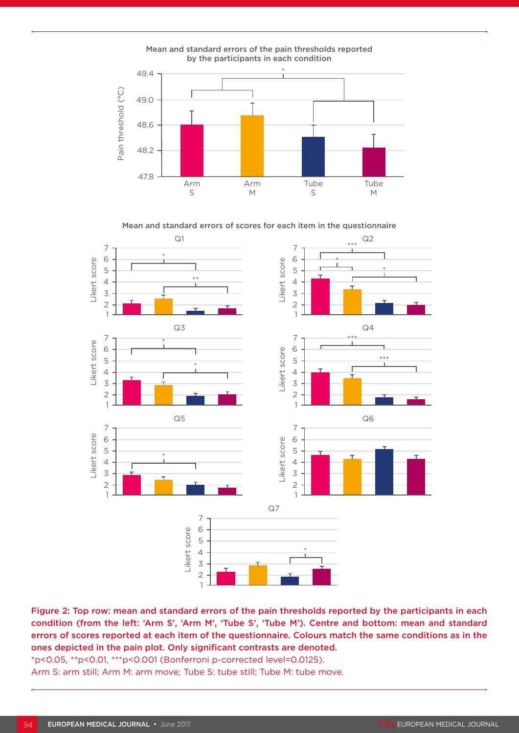

Mean and standard errors of scores for each item in the questionnaire



Figure 2: Top row: mean and standard errors of the pain thresholds reported by the participants in each condition (from the left: 'Arm S', 'Arm M', 'Tube S', 'Tube M'). Centre and bottom: mean and standard errors of scores reported at each item of the questionnaire. Colours match the same conditions as in the ones depicted in the pain plot. Only significant contrasts are denoted.

\*p<0.05, \*\*p<0.01, \*\*\*p<0.001 (Bonferroni p-corrected level=0.0125). Arm S: arm still; Arm M: arm move; Tube S: tube still; Tube M: tube move.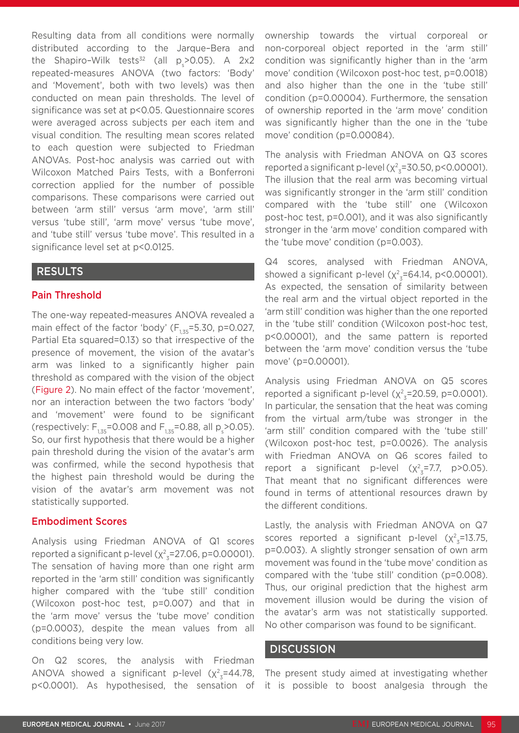Resulting data from all conditions were normally distributed according to the Jarque–Bera and the Shapiro-Wilk tests<sup>32</sup> (all  $p_s$ >0.05). A 2x2 repeated-measures ANOVA (two factors: 'Body' and 'Movement', both with two levels) was then conducted on mean pain thresholds. The level of significance was set at p<0.05. Questionnaire scores were averaged across subjects per each item and visual condition. The resulting mean scores related to each question were subjected to Friedman ANOVAs. Post-hoc analysis was carried out with Wilcoxon Matched Pairs Tests, with a Bonferroni correction applied for the number of possible comparisons. These comparisons were carried out between 'arm still' versus 'arm move', 'arm still' versus 'tube still', 'arm move' versus 'tube move', and 'tube still' versus 'tube move'. This resulted in a significance level set at p<0.0125.

## RESULTS

#### Pain Threshold

The one-way repeated-measures ANOVA revealed a main effect of the factor 'body'  $(F_{1,35} = 5.30, p=0.027,$ Partial Eta squared=0.13) so that irrespective of the presence of movement, the vision of the avatar's arm was linked to a significantly higher pain threshold as compared with the vision of the object (Figure 2). No main effect of the factor 'movement', nor an interaction between the two factors 'body' and 'movement' were found to be significant (respectively:  $F_{1,35}$ =0.008 and  $F_{1,35}$ =0.88, all p<sub>s</sub>>0.05). So, our first hypothesis that there would be a higher pain threshold during the vision of the avatar's arm was confirmed, while the second hypothesis that the highest pain threshold would be during the vision of the avatar's arm movement was not statistically supported.

#### Embodiment Scores

Analysis using Friedman ANOVA of Q1 scores reported a significant p-level ( $\chi^2_{\ z}$ =27.06, p=0.00001). The sensation of having more than one right arm reported in the 'arm still' condition was significantly higher compared with the 'tube still' condition (Wilcoxon post-hoc test, p=0.007) and that in the 'arm move' versus the 'tube move' condition (p=0.0003), despite the mean values from all conditions being very low.

On Q2 scores, the analysis with Friedman ANOVA showed a significant p-level ( $\chi^2$ <sub>3</sub>=44.78, p<0.0001). As hypothesised, the sensation of ownership towards the virtual corporeal or non-corporeal object reported in the 'arm still' condition was significantly higher than in the 'arm move' condition (Wilcoxon post-hoc test, p=0.0018) and also higher than the one in the 'tube still' condition (p=0.00004). Furthermore, the sensation of ownership reported in the 'arm move' condition was significantly higher than the one in the 'tube move' condition (p=0.00084).

The analysis with Friedman ANOVA on Q3 scores reported a significant p-level ( $\chi^2$ <sub>3</sub>=30.50, p<0.00001). The illusion that the real arm was becoming virtual was significantly stronger in the 'arm still' condition compared with the 'tube still' one (Wilcoxon post-hoc test, p=0.001), and it was also significantly stronger in the 'arm move' condition compared with the 'tube move' condition (p=0.003).

Q4 scores, analysed with Friedman ANOVA, showed a significant p-level  $(x^2_{3}=64.14, p<0.00001)$ . As expected, the sensation of similarity between the real arm and the virtual object reported in the 'arm still' condition was higher than the one reported in the 'tube still' condition (Wilcoxon post-hoc test, p<0.00001), and the same pattern is reported between the 'arm move' condition versus the 'tube move' (p=0.00001).

Analysis using Friedman ANOVA on Q5 scores reported a significant p-level ( $\chi^2_{3}$ =20.59, p=0.0001). In particular, the sensation that the heat was coming from the virtual arm/tube was stronger in the 'arm still' condition compared with the 'tube still' (Wilcoxon post-hoc test, p=0.0026). The analysis with Friedman ANOVA on Q6 scores failed to report a significant p-level  $(x^2_{3}=7.7, p>0.05)$ . That meant that no significant differences were found in terms of attentional resources drawn by the different conditions.

Lastly, the analysis with Friedman ANOVA on Q7 scores reported a significant p-level  $(x^2_{3} = 13.75,$ p=0.003). A slightly stronger sensation of own arm movement was found in the 'tube move' condition as compared with the 'tube still' condition (p=0.008). Thus, our original prediction that the highest arm movement illusion would be during the vision of the avatar's arm was not statistically supported. No other comparison was found to be significant.

#### **DISCUSSION**

The present study aimed at investigating whether it is possible to boost analgesia through the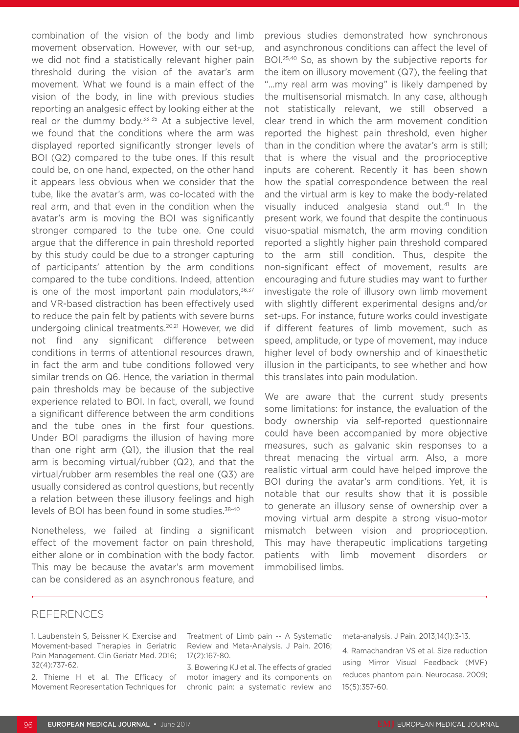combination of the vision of the body and limb movement observation. However, with our set-up, we did not find a statistically relevant higher pain threshold during the vision of the avatar's arm movement. What we found is a main effect of the vision of the body, in line with previous studies reporting an analgesic effect by looking either at the real or the dummy body.<sup>33-35</sup> At a subjective level, we found that the conditions where the arm was displayed reported significantly stronger levels of BOI (Q2) compared to the tube ones. If this result could be, on one hand, expected, on the other hand it appears less obvious when we consider that the tube, like the avatar's arm, was co-located with the real arm, and that even in the condition when the avatar's arm is moving the BOI was significantly stronger compared to the tube one. One could argue that the difference in pain threshold reported by this study could be due to a stronger capturing of participants' attention by the arm conditions compared to the tube conditions. Indeed, attention is one of the most important pain modulators, $36,37$ and VR-based distraction has been effectively used to reduce the pain felt by patients with severe burns undergoing clinical treatments.20,21 However, we did not find any significant difference between conditions in terms of attentional resources drawn, in fact the arm and tube conditions followed very similar trends on Q6. Hence, the variation in thermal pain thresholds may be because of the subjective experience related to BOI. In fact, overall, we found a significant difference between the arm conditions and the tube ones in the first four questions. Under BOI paradigms the illusion of having more than one right arm (Q1), the illusion that the real arm is becoming virtual/rubber (Q2), and that the virtual/rubber arm resembles the real one (Q3) are usually considered as control questions, but recently a relation between these illusory feelings and high levels of BOI has been found in some studies.<sup>38-40</sup>

Nonetheless, we failed at finding a significant effect of the movement factor on pain threshold, either alone or in combination with the body factor. This may be because the avatar's arm movement can be considered as an asynchronous feature, and

previous studies demonstrated how synchronous and asynchronous conditions can affect the level of BOI.25,40 So, as shown by the subjective reports for the item on illusory movement (Q7), the feeling that "...my real arm was moving" is likely dampened by the multisensorial mismatch. In any case, although not statistically relevant, we still observed a clear trend in which the arm movement condition reported the highest pain threshold, even higher than in the condition where the avatar's arm is still; that is where the visual and the proprioceptive inputs are coherent. Recently it has been shown how the spatial correspondence between the real and the virtual arm is key to make the body-related visually induced analgesia stand out.<sup>41</sup> In the present work, we found that despite the continuous visuo-spatial mismatch, the arm moving condition reported a slightly higher pain threshold compared to the arm still condition. Thus, despite the non-significant effect of movement, results are encouraging and future studies may want to further investigate the role of illusory own limb movement with slightly different experimental designs and/or set-ups. For instance, future works could investigate if different features of limb movement, such as speed, amplitude, or type of movement, may induce higher level of body ownership and of kinaesthetic illusion in the participants, to see whether and how this translates into pain modulation.

We are aware that the current study presents some limitations: for instance, the evaluation of the body ownership via self-reported questionnaire could have been accompanied by more objective measures, such as galvanic skin responses to a threat menacing the virtual arm. Also, a more realistic virtual arm could have helped improve the BOI during the avatar's arm conditions. Yet, it is notable that our results show that it is possible to generate an illusory sense of ownership over a moving virtual arm despite a strong visuo-motor mismatch between vision and proprioception. This may have therapeutic implications targeting patients with limb movement disorders or immobilised limbs.

#### REFERENCES

1. Laubenstein S, Beissner K. Exercise and Movement-based Therapies in Geriatric Pain Management. Clin Geriatr Med. 2016; 32(4):737-62.

2. Thieme H et al. The Efficacy of Movement Representation Techniques for

Treatment of Limb pain -- A Systematic Review and Meta-Analysis. J Pain. 2016; 17(2):167-80.

3. Bowering KJ et al. The effects of graded motor imagery and its components on chronic pain: a systematic review and meta-analysis. J Pain. 2013;14(1):3-13.

4. Ramachandran VS et al. Size reduction using Mirror Visual Feedback (MVF) reduces phantom pain. Neurocase. 2009; 15(5):357-60.